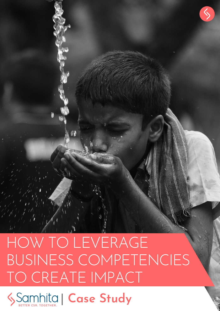# HOW TO LEVERAGE BUSINESS COMPETENCIES TO CREATE IMPACT

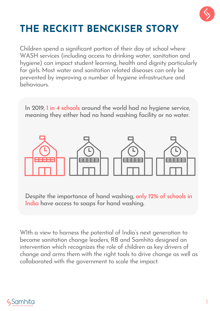

# **THE RECKITT BENCKISER STORY**

Children spend a significant portion of their day at school where WASH services (including access to drinking water, sanitation and hygiene) can impact student learning, health and dignity particularly for girls. Most water and sanitation related diseases can only be prevented by improving a number of hygiene infrastructure and behaviours.

**In 2019, 1 in 4 schools around the world had no hygiene service, meaning they either had no hand washing facility or no water.**



**Despite the importance of hand washing, only 12% of schools in India have access to soaps for hand washing.**

WIth a view to harness the potential of India's next generation to become sanitation change leaders, RB and Samhita designed an intervention which recognizes the role of children as key drivers of change and arms them with the right tools to drive change as well as collaborated with the government to scale the impact.

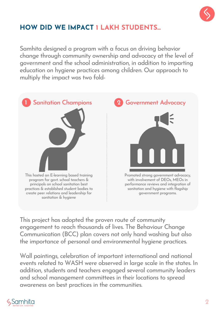

### **HOW DID WE IMPACT 1 LAKH STUDENTS...**

Samhita designed a program with a focus on driving behavior change through community ownership and advocacy at the level of government and the school administration, in addition to imparting education on hygiene practices among children. Our approach to multiply the impact was two fold-



This project has adopted the proven route of community engagement to reach thousands of lives. The Behaviour Change Communication (BCC) plan covers not only hand washing but also the importance of personal and environmental hygiene practices.

Wall paintings, celebration of important international and national events related to WASH were observed in large scale in the states. In addition, students and teachers engaged several community leaders and school management committees in their locations to spread awareness on best practices in the communities.

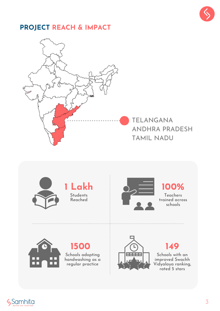

#### **PROJECT REACH & IMPACT**





#### **100%** Teachers

trained across schools



**1500** Schools adopting handwashing as a regular practice



**149** Schools with an improved Swachh Vidyalaya ranking,

rated 5 stars